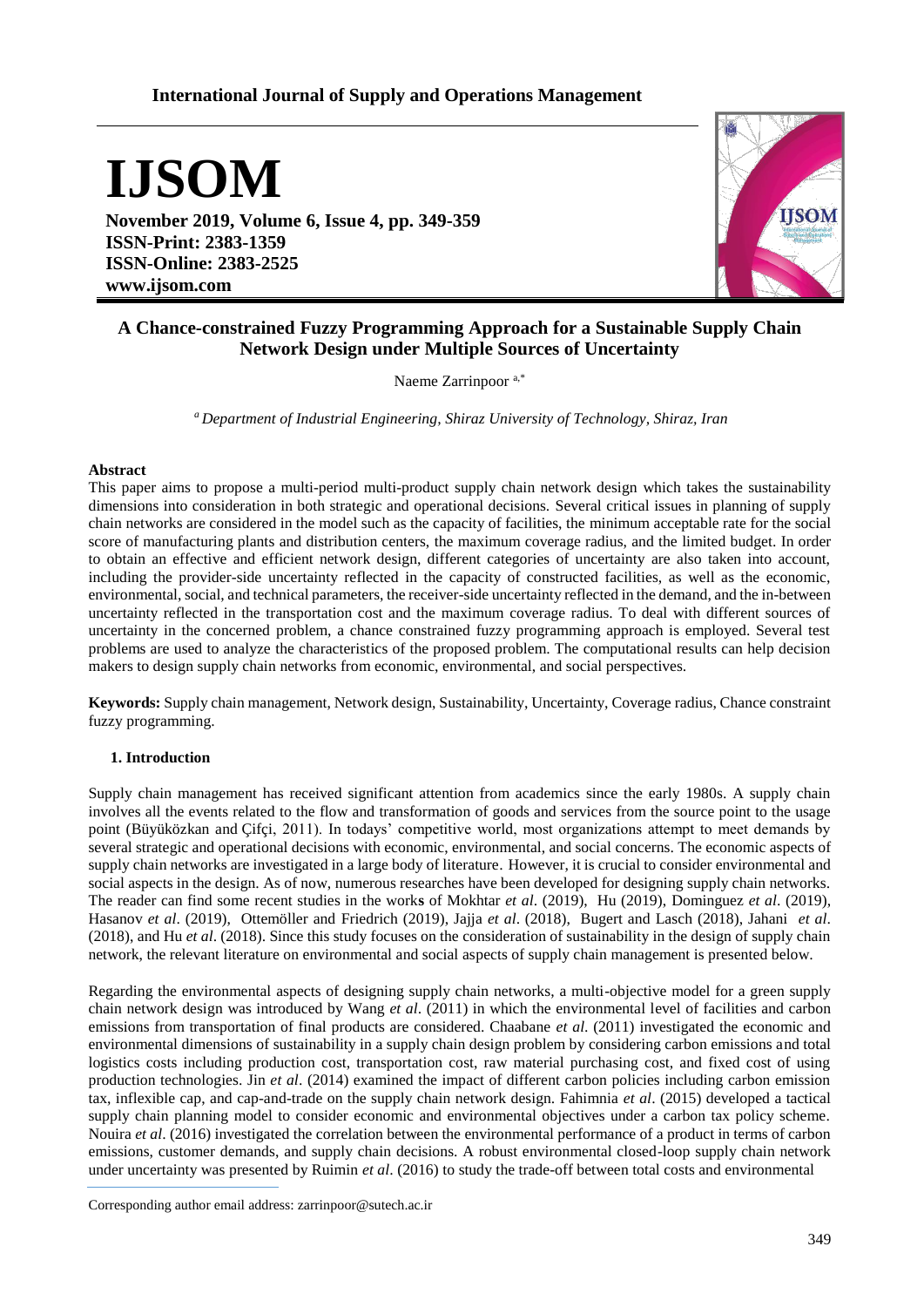# **International Journal of Supply and Operations Management**

**IJSOM**

**November 2019, Volume 6, Issue 4, pp. 349-359 ISSN-Print: 2383-1359 ISSN-Online: 2383-2525 www.ijsom.com**



# **A Chance-constrained Fuzzy Programming Approach for a Sustainable Supply Chain Network Design under Multiple Sources of Uncertainty**

Naeme Zarrinpoor a,\*

*<sup>a</sup>Department of Industrial Engineering, Shiraz University of Technology, Shiraz, Iran*

### **Abstract**

This paper aims to propose a multi-period multi-product supply chain network design which takes the sustainability dimensions into consideration in both strategic and operational decisions. Several critical issues in planning of supply chain networks are considered in the model such as the capacity of facilities, the minimum acceptable rate for the social score of manufacturing plants and distribution centers, the maximum coverage radius, and the limited budget. In order to obtain an effective and efficient network design, different categories of uncertainty are also taken into account, including the provider-side uncertainty reflected in the capacity of constructed facilities, as well as the economic, environmental, social, and technical parameters, the receiver-side uncertainty reflected in the demand, and the in-between uncertainty reflected in the transportation cost and the maximum coverage radius. To deal with different sources of uncertainty in the concerned problem, a chance constrained fuzzy programming approach is employed. Several test problems are used to analyze the characteristics of the proposed problem. The computational results can help decision makers to design supply chain networks from economic, environmental, and social perspectives.

**Keywords:** Supply chain management, Network design, Sustainability, Uncertainty, Coverage radius, Chance constraint fuzzy programming.

## **1. Introduction**

Supply chain management has received significant attention from academics since the early 1980s. A supply chain involves all the events related to the flow and transformation of goods and services from the source point to the usage point (Büyüközkan and Çifçi, 2011). In todays' competitive world, most organizations attempt to meet demands by several strategic and operational decisions with economic, environmental, and social concerns. The economic aspects of supply chain networks are investigated in a large body of literature. However, it is crucial to consider environmental and social aspects in the design. As of now, numerous researches have been developed for designing supply chain networks. The reader can find some recent studies in the work**s** of Mokhtar *et al*. (2019), Hu (2019), Dominguez *et al*. (2019), Hasanov *et al*. (2019), Ottemöller and [Friedrich](https://www.sciencedirect.com/science/article/pii/S1366554517301680#!) (2019), Jajja *et al*. (2018), Bugert and Lasch (2018), Jahani *et al*. (2018), and Hu *et al*. (2018). Since this study focuses on the consideration of sustainability in the design of supply chain network, the relevant literature on environmental and social aspects of supply chain management is presented below.

Regarding the environmental aspects of designing supply chain networks, a multi-objective model for a green supply chain network design was introduced by Wang *et al*. (2011) in which the environmental level of facilities and carbon emissions from transportation of final products are considered. Chaabane *et al*. (2011) investigated the economic and environmental dimensions of sustainability in a supply chain design problem by considering carbon emissions and total logistics costs including production cost, transportation cost, raw material purchasing cost, and fixed cost of using production technologies. Jin *et al*. (2014) examined the impact of different carbon policies including carbon emission tax, inflexible cap, and cap-and-trade on the supply chain network design. Fahimnia *et al*. (2015) developed a tactical supply chain planning model to consider economic and environmental objectives under a carbon tax policy scheme. Nouira *et al*. (2016) investigated the correlation between the environmental performance of a product in terms of carbon emissions, customer demands, and supply chain decisions. A robust environmental closed-loop supply chain network under uncertainty was presented by Ruimin *et al*. (2016) to study the trade-off between total costs and environmental

Corresponding author email address: zarrinpoor@sutech.ac.ir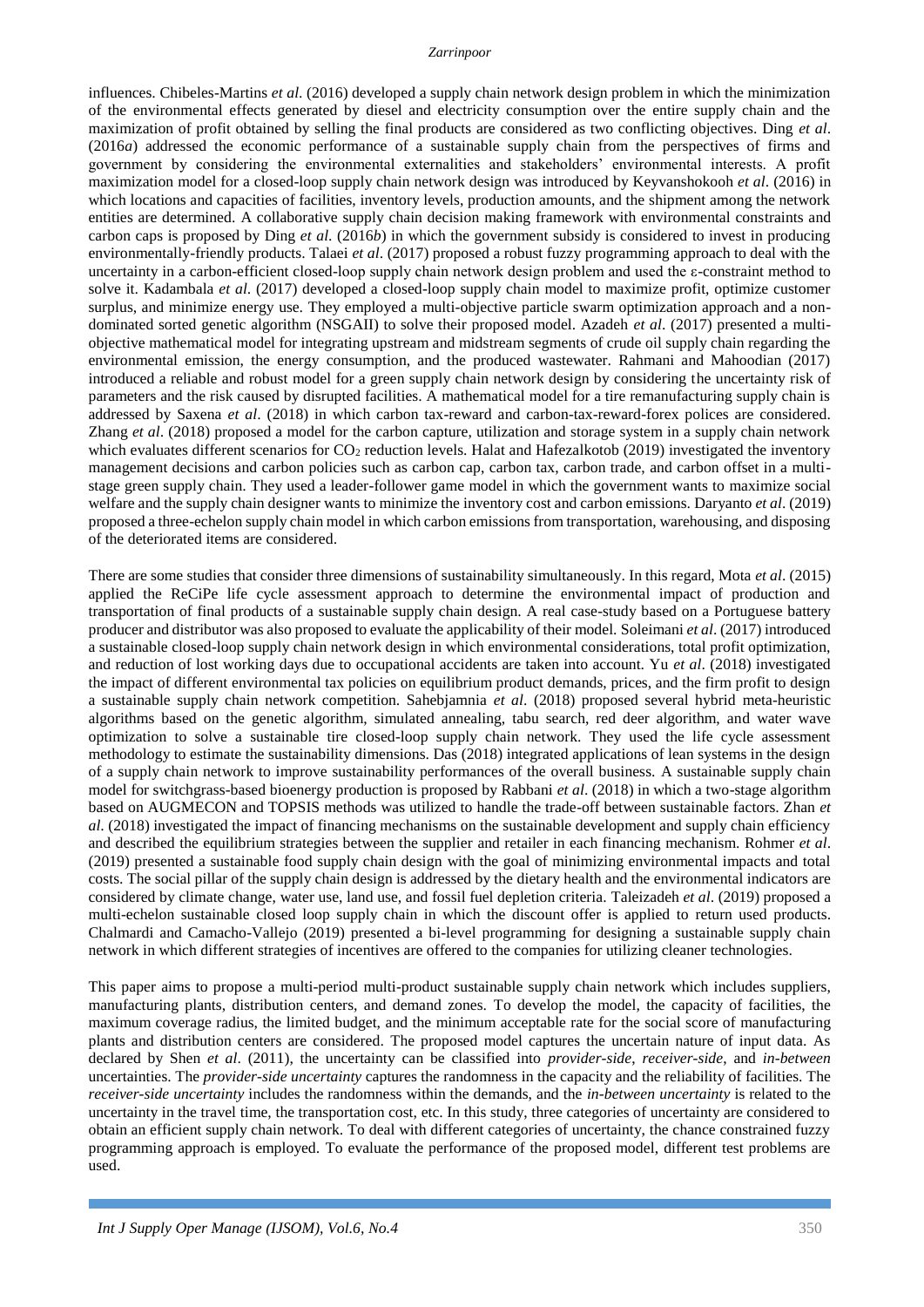#### *Zarrinpoor*

influences. Chibeles-Martins *et al*. (2016) developed a supply chain network design problem in which the minimization of the environmental effects generated by diesel and electricity consumption over the entire supply chain and the maximization of profit obtained by selling the final products are considered as two conflicting objectives. Ding *et al*. (2016*a*) addressed the economic performance of a sustainable supply chain from the perspectives of firms and government by considering the environmental externalities and stakeholders' environmental interests. A profit maximization model for a closed-loop supply chain network design was introduced by Keyvanshokooh *et al*. (2016) in which locations and capacities of facilities, inventory levels, production amounts, and the shipment among the network entities are determined. A collaborative supply chain decision making framework with environmental constraints and carbon caps is proposed by Ding *et al*. (2016*b*) in which the government subsidy is considered to invest in producing environmentally-friendly products. Talaei *et al*. (2017) proposed a robust fuzzy programming approach to deal with the uncertainty in a carbon-efficient closed-loop supply chain network design problem and used the ε-constraint method to solve it. Kadambala *et al*. (2017) developed a closed-loop supply chain model to maximize profit, optimize customer surplus, and minimize energy use. They employed a multi-objective particle swarm optimization approach and a nondominated sorted genetic algorithm (NSGAII) to solve their proposed model. Azadeh *et al*. (2017) presented a multiobjective mathematical model for integrating upstream and midstream segments of crude oil supply chain regarding the environmental emission, the energy consumption, and the produced wastewater. Rahmani and Mahoodian (2017) introduced a reliable and robust model for a green supply chain network design by considering the uncertainty risk of parameters and the risk caused by disrupted facilities. A mathematical model for a tire remanufacturing supply chain is addressed by Saxena *et al*. (2018) in which carbon tax-reward and carbon-tax-reward-forex polices are considered. Zhang *et al*. (2018) proposed a model for the carbon capture, utilization and storage system in a supply chain network which evaluates different scenarios for  $CO<sub>2</sub>$  reduction levels. Halat and Hafezalkotob (2019) investigated the inventory management decisions and carbon policies such as carbon cap, carbon tax, carbon trade, and carbon offset in a multistage green supply chain. They used a leader-follower game model in which the government wants to maximize social welfare and the supply chain designer wants to minimize the inventory cost and carbon emissions. Daryanto *et al*. (2019) proposed a three-echelon supply chain model in which carbon emissions from transportation, warehousing, and disposing of the deteriorated items are considered.

There are some studies that consider three dimensions of sustainability simultaneously. In this regard, Mota *et al*. (2015) applied the ReCiPe life cycle assessment approach to determine the environmental impact of production and transportation of final products of a sustainable supply chain design. A real case-study based on a Portuguese battery producer and distributor was also proposed to evaluate the applicability of their model. Soleimani *et al*. (2017) introduced a sustainable closed-loop supply chain network design in which environmental considerations, total profit optimization, and reduction of lost working days due to occupational accidents are taken into account. Yu *et al*. (2018) investigated the impact of different environmental tax policies on equilibrium product demands, prices, and the firm profit to design a sustainable supply chain network competition. Sahebjamnia *et al*. (2018) proposed several hybrid meta-heuristic algorithms based on the genetic algorithm, simulated annealing, tabu search, red deer algorithm, and water wave optimization to solve a sustainable tire closed-loop supply chain network. They used the life cycle assessment methodology to estimate the sustainability dimensions. Das (2018) integrated applications of lean systems in the design of a supply chain network to improve sustainability performances of the overall business. A sustainable supply chain model for switchgrass-based bioenergy production is proposed by Rabbani *et al*. (2018) in which a two-stage algorithm based on AUGMECON and TOPSIS methods was utilized to handle the trade-off between sustainable factors. Zhan *et al*. (2018) investigated the impact of financing mechanisms on the sustainable development and supply chain efficiency and described the equilibrium strategies between the supplier and retailer in each financing mechanism. Rohmer *et al*. (2019) presented a sustainable food supply chain design with the goal of minimizing environmental impacts and total costs. The social pillar of the supply chain design is addressed by the dietary health and the environmental indicators are considered by climate change, water use, land use, and fossil fuel depletion criteria. Taleizadeh *et al*. (2019) proposed a multi-echelon sustainable closed loop supply chain in which the discount offer is applied to return used products. [Chalmardi](https://www.sciencedirect.com/science/article/pii/S0959652618339131#!) and [Camacho-Vallejo](https://www.sciencedirect.com/science/article/pii/S0959652618339131#!) (2019) presented a bi-level programming for designing a sustainable supply chain network in which different strategies of incentives are offered to the companies for utilizing cleaner technologies.

This paper aims to propose a multi-period multi-product sustainable supply chain network which includes suppliers, manufacturing plants, distribution centers, and demand zones. To develop the model, the capacity of facilities, the maximum coverage radius, the limited budget, and the minimum acceptable rate for the social score of manufacturing plants and distribution centers are considered. The proposed model captures the uncertain nature of input data. As declared by Shen *et al*. (2011), the uncertainty can be classified into *provider-side*, *receiver-side*, and *in-between* uncertainties. The *provider-side uncertainty* captures the randomness in the capacity and the reliability of facilities. The *receiver-side uncertainty* includes the randomness within the demands, and the *in-between uncertainty* is related to the uncertainty in the travel time, the transportation cost, etc. In this study, three categories of uncertainty are considered to obtain an efficient supply chain network. To deal with different categories of uncertainty, the chance constrained fuzzy programming approach is employed. To evaluate the performance of the proposed model, different test problems are used.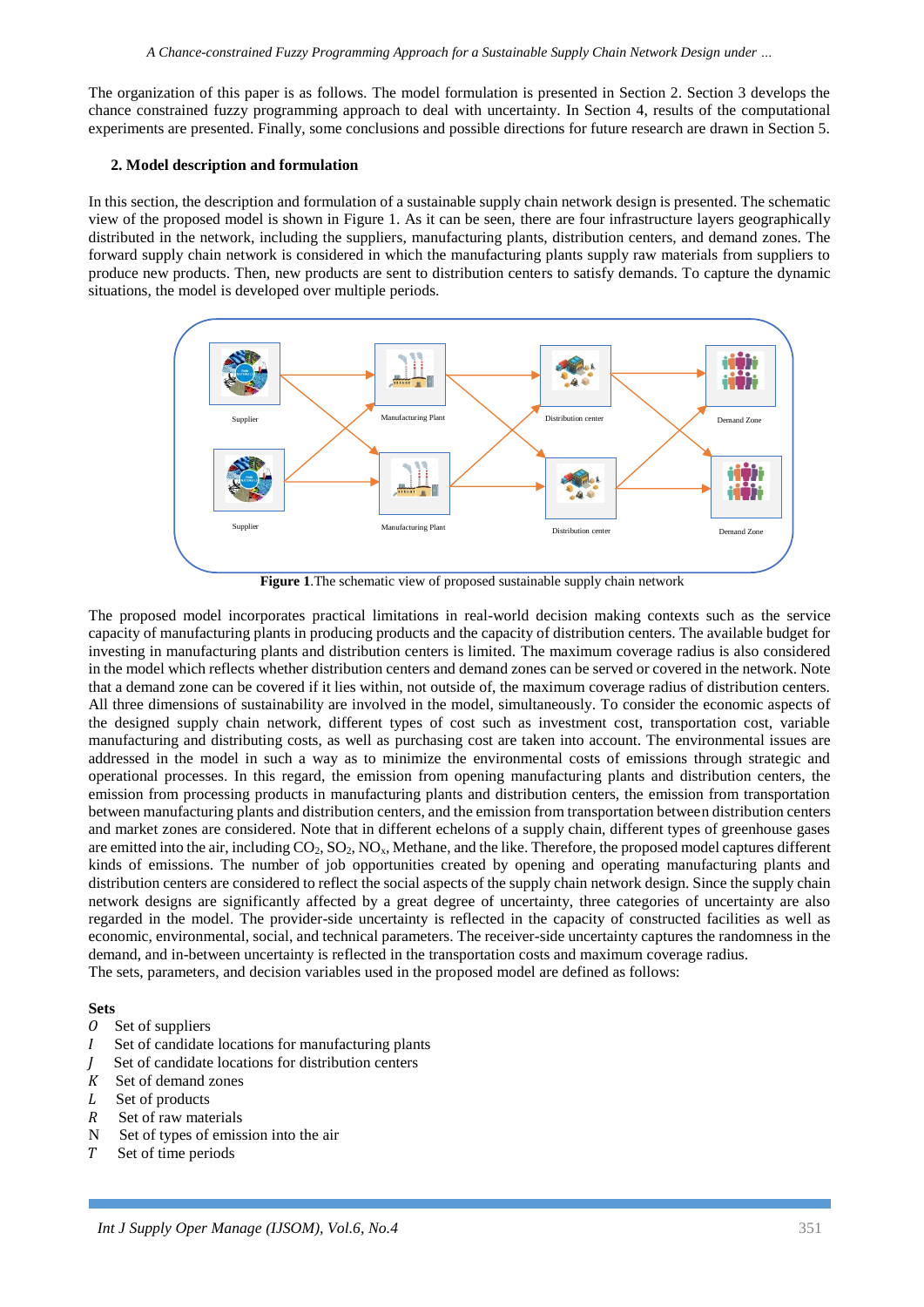The organization of this paper is as follows. The model formulation is presented in Section 2. Section 3 develops the chance constrained fuzzy programming approach to deal with uncertainty. In Section 4, results of the computational experiments are presented. Finally, some conclusions and possible directions for future research are drawn in Section 5.

## **2. Model description and formulation**

In this section, the description and formulation of a sustainable supply chain network design is presented. The schematic view of the proposed model is shown in Figure 1. As it can be seen, there are four infrastructure layers geographically distributed in the network, including the suppliers, manufacturing plants, distribution centers, and demand zones. The forward supply chain network is considered in which the manufacturing plants supply raw materials from suppliers to produce new products. Then, new products are sent to distribution centers to satisfy demands. To capture the dynamic situations, the model is developed over multiple periods.



**Figure 1**.The schematic view of proposed sustainable supply chain network

The proposed model incorporates practical limitations in real-world decision making contexts such as the service capacity of manufacturing plants in producing products and the capacity of distribution centers. The available budget for investing in manufacturing plants and distribution centers is limited. The maximum coverage radius is also considered in the model which reflects whether distribution centers and demand zones can be served or covered in the network. Note that a demand zone can be covered if it lies within, not outside of, the maximum coverage radius of distribution centers. All three dimensions of sustainability are involved in the model, simultaneously. To consider the economic aspects of the designed supply chain network, different types of cost such as investment cost, transportation cost, variable manufacturing and distributing costs, as well as purchasing cost are taken into account. The environmental issues are addressed in the model in such a way as to minimize the environmental costs of emissions through strategic and operational processes. In this regard, the emission from opening manufacturing plants and distribution centers, the emission from processing products in manufacturing plants and distribution centers, the emission from transportation between manufacturing plants and distribution centers, and the emission from transportation between distribution centers and market zones are considered. Note that in different echelons of a supply chain, different types of greenhouse gases are emitted into the air, including CO<sub>2</sub>, SO<sub>2</sub>, NO<sub>x</sub>, Methane, and the like. Therefore, the proposed model captures different kinds of emissions. The number of job opportunities created by opening and operating manufacturing plants and distribution centers are considered to reflect the social aspects of the supply chain network design. Since the supply chain network designs are significantly affected by a great degree of uncertainty, three categories of uncertainty are also regarded in the model. The provider-side uncertainty is reflected in the capacity of constructed facilities as well as economic, environmental, social, and technical parameters. The receiver-side uncertainty captures the randomness in the demand, and in-between uncertainty is reflected in the transportation costs and maximum coverage radius. The sets, parameters, and decision variables used in the proposed model are defined as follows:

## **Sets**

- $0$  Set of suppliers
- Set of candidate locations for manufacturing plants
- Set of candidate locations for distribution centers
- $K$  Set of demand zones
- L Set of products
- $R$  Set of raw materials
- N Set of types of emission into the air
- Set of time periods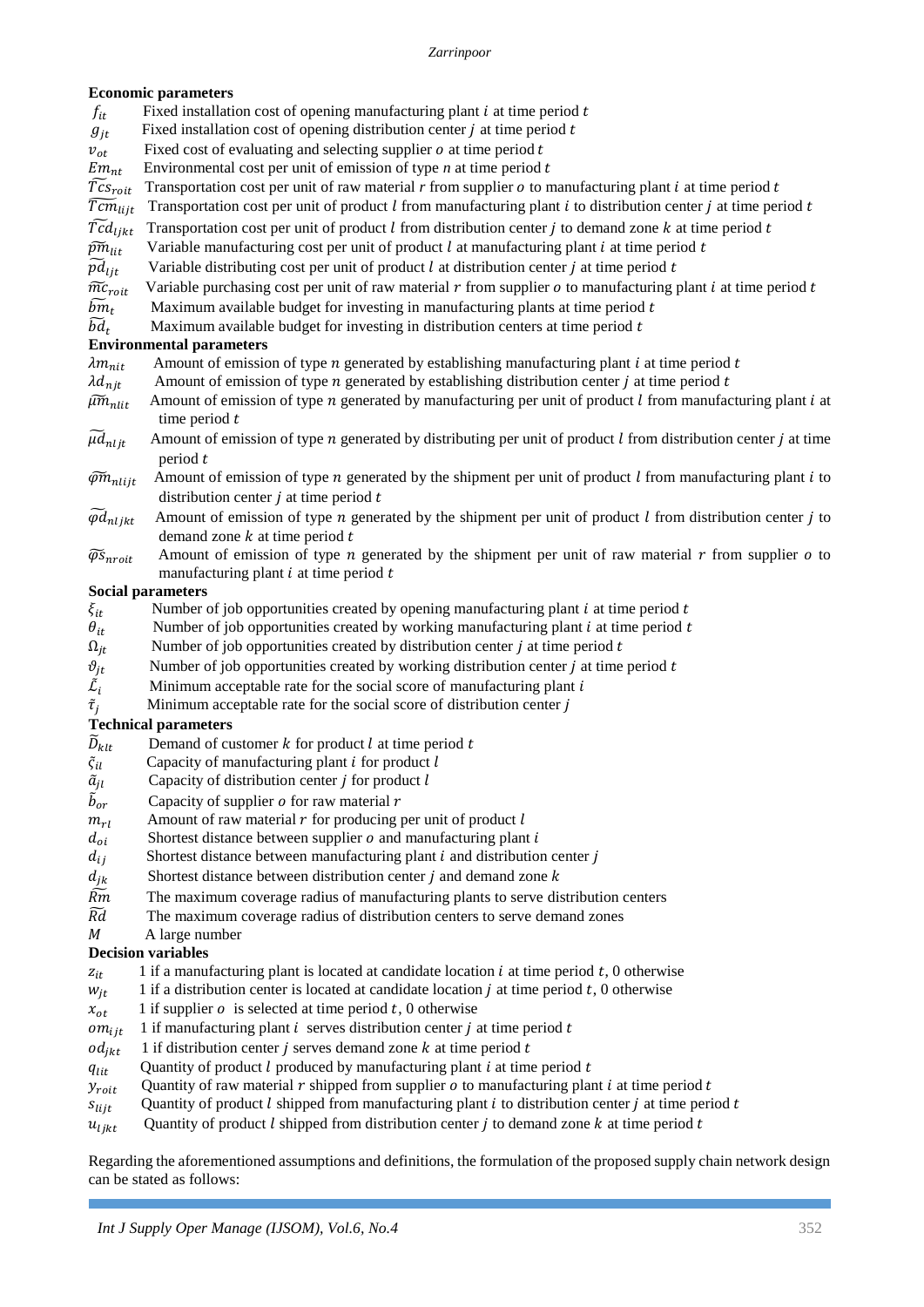# **Economic parameters**

- $f_{it}$  Fixed installation cost of opening manufacturing plant *i* at time period *t*
- $g_{it}$  Fixed installation cost of opening distribution center *j* at time period *t*
- $v_{ot}$  Fixed cost of evaluating and selecting supplier *o* at time period *t*  $Em_{n+}$  Environmental cost per unit of emission of type *n* at time period *t*
- Environmental cost per unit of emission of type  $n$  at time period  $t$
- $\tilde{T}_{C}_{\text{Oit}}$  Transportation cost per unit of raw material *r* from supplier *o* to manufacturing plant *i* at time period *t*  $\tilde{T}_{C_{\text{Oit}}+1}$  Transportation cost per unit of product *l* from manufacturing plant *i*
- $\widetilde{Tcm}_{lij t}$  Transportation cost per unit of product *l* from manufacturing plant *i* to distribution center *j* at time period *t*  $\widetilde{Tcd}_{li t}$  Transportation cost per unit of product *l* from distribution center *j* t
- Transportation cost per unit of product  $l$  from distribution center  $j$  to demand zone  $k$  at time period  $t$
- $\widetilde{pm}_{i}$  Variable manufacturing cost per unit of product l at manufacturing plant i at time period t
- $\widetilde{p}\widetilde{d}_{1it}$  Variable distributing cost per unit of product l at distribution center j at time period t
- $\widetilde{mc}_{roit}$  Variable purchasing cost per unit of raw material r from supplier *o* to manufacturing plant *i* at time period *t*
- $\widetilde{bm}_t$ Maximum available budget for investing in manufacturing plants at time period  $t$
- $\widetilde{bd}_t$ Maximum available budget for investing in distribution centers at time period  $t$

# **Environmental parameters**

 $\lambda m_{nit}$  Amount of emission of type *n* generated by establishing manufacturing plant *i* at time period *t* 

- $\lambda d_{njt}$  Amount of emission of type *n* generated by establishing distribution center *j* at time period *t*
- $\tilde{\mu}\tilde{m}_{nlit}$  Amount of emission of type *n* generated by manufacturing per unit of product l from manufacturing plant i at time period  $t$
- $\widetilde{\mu}d_{n l i t}$  Amount of emission of type *n* generated by distributing per unit of product l from distribution center *j* at time period t
- $\widetilde{\varphi}$  $\widetilde{m}_{nlijt}$  Amount of emission of type *n* generated by the shipment per unit of product *l* from manufacturing plant *i* to distribution center  $i$  at time period  $t$
- $\widetilde{\varphi}d_{nl}\xi$  Amount of emission of type *n* generated by the shipment per unit of product *l* from distribution center *j* to demand zone  $k$  at time period  $t$
- $\widetilde{\varphi}s_{n\textrm{root}}$  Amount of emission of type *n* generated by the shipment per unit of raw material *r* from supplier *o* to manufacturing plant  $i$  at time period  $t$

# **Social parameters**

- $\xi_{it}$  Number of job opportunities created by opening manufacturing plant *i* at time period *t*
- $\theta_{it}$  Number of job opportunities created by working manufacturing plant *i* at time period *t*<br>Number of job opportunities created by distribution center *j* at time period *t*
- Number of job opportunities created by distribution center  $j$  at time period  $t$
- $\vartheta_{it}$  Number of job opportunities created by working distribution center *j* at time period *t*
- $\tilde{\mathcal{L}}_i$ Minimum acceptable rate for the social score of manufacturing plant  $i$
- $\tilde{\tau}_i$ Minimum acceptable rate for the social score of distribution center  $j$

# **Technical parameters**

- $\widetilde{D}_{klt}$  Demand of customer *k* for product *l* at time period *t* Capacity of manufacturing plant *i* for product *l*
- Capacity of manufacturing plant  $i$  for product  $l$
- $\tilde{a}_{il}$  Capacity of distribution center *j* for product *l*
- $\tilde{b}_{\alpha r}$ Capacity of supplier  $\rho$  for raw material  $r$
- 
- $m_{rl}$  Amount of raw material *r* for producing per unit of product *l*  $d_{oi}$  Shortest distance between supplier *o* and manufacturing plant Shortest distance between supplier  $o$  and manufacturing plant  $i$
- $d_{ij}$  Shortest distance between manufacturing plant  $i$  and distribution center  $j$
- $d_{jk}$  Shortest distance between distribution center *j* and demand zone *k*  $\overline{Rm}$  The maximum coverage radius of manufacturing plants to serve dis
- ̃ The maximum coverage radius of manufacturing plants to serve distribution centers
- $\widetilde{R}d$  The maximum coverage radius of distribution centers to serve demand zones
- M A large number

# **Decision variables**

- $z_{it}$  1 if a manufacturing plant is located at candidate location *i* at time period *t*, 0 otherwise
- $w_{it}$  1 if a distribution center is located at candidate location *j* at time period *t*, 0 otherwise
- $x_{ot}$  1 if supplier *o* is selected at time period *t*, 0 otherwise
- 
- $om_{ijt}$  1 if manufacturing plant *i* serves distribution center *j* at time period *t*  $od_{ikt}$  1 if distribution center *j* serves demand zone *k* at time period *t* 1 if distribution center  $i$  serves demand zone  $k$  at time period  $t$
- $q_{lit}$  Quantity of product *l* produced by manufacturing plant *i* at time period *t*
- $y_{\text{roit}}$  Quantity of raw material  $r$  shipped from supplier  $o$  to manufacturing plant  $i$  at time period  $t$
- $s_{liit}$  Quantity of product *l* shipped from manufacturing plant *i* to distribution center *j* at time period *t*
- $u_{likt}$  Quantity of product *l* shipped from distribution center *j* to demand zone *k* at time period *t*

Regarding the aforementioned assumptions and definitions, the formulation of the proposed supply chain network design can be stated as follows: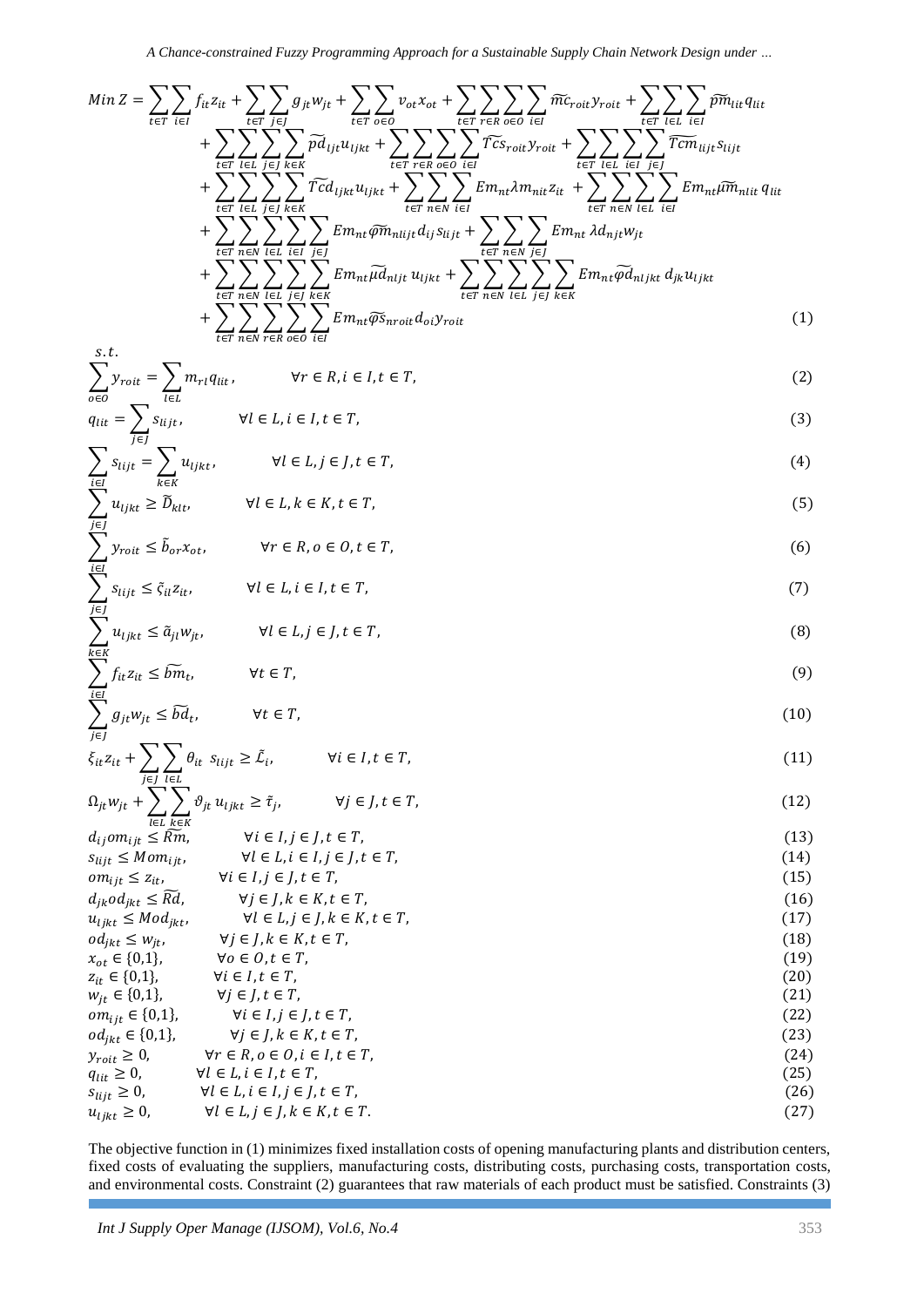*A Chance-constrained Fuzzy Programming Approach for a Sustainable Supply Chain Network Design under …*

$$
Min Z = \sum_{t \in T} \sum_{i \in I} f_{it} z_{it} + \sum_{t \in T} \sum_{j \in J} g_{jt} w_{jt} + \sum_{t \in T} \sum_{o \in O} v_{ot} x_{ot} + \sum_{t \in T} \sum_{r \in R} \sum_{o \in O} \sum_{i \in I} \widetilde{mc}_{roit} y_{roit} + \sum_{t \in T} \sum_{l \in L} \sum_{i \in I} \widetilde{p} \widetilde{m}_{lit} q_{lit} + \sum_{t \in T} \sum_{l \in L} \sum_{j \in J} \sum_{k \in K} \widetilde{rc} \widetilde{m}_{ij} u_{ljkt} + \sum_{t \in T} \sum_{r \in R} \sum_{o \in O} \sum_{i \in I} \widetilde{rc} \widetilde{c}_{roit} y_{roit} + \sum_{t \in T} \sum_{l \in L} \sum_{i \in I} \overline{rc} \widetilde{m}_{lijt} s_{lijt} + \sum_{t \in T} \sum_{l \in L} \sum_{j \in J} \sum_{k \in K} \widetilde{rc} \widetilde{d}_{ljkt} u_{ljkt} + \sum_{t \in T} \sum_{n \in N} \sum_{i \in I} \sum_{k \in K} E m_{nt} \lambda m_{nit} z_{it} + \sum_{t \in T} \sum_{n \in N} \sum_{l \in L} \sum_{i \in I} E m_{nt} \widetilde{\mu} \widetilde{m}_{nlij} d_{ij} s_{lijt} + \sum_{t \in T} \sum_{n \in N} \sum_{j \in J} \sum_{k \in K} E m_{nt} \lambda d_{njt} w_{jt} + \sum_{t \in T} \sum_{n \in N} \sum_{l \in L} \sum_{j \in J} \sum_{k \in K} E m_{nt} \widetilde{\mu} d_{nljt} u_{ljkt} + \sum_{t \in T} \sum_{n \in N} \sum_{l \in L} \sum_{j \in J} \sum_{k \in K} E m_{nt} \widetilde{\mu} \widetilde{m}_{nlijkt} d_{ji} u_{ljkt} + \sum_{t \in T} \sum_{n \in N} \sum_{t \in L} \sum_{j \in J} \sum_{k \in K} E m_{nt} \widetilde{\mu} \widetilde{c}_{nli} y_{roit}
$$
\n(1)

$$
= \sum m_{rl} q_{lit}, \qquad \forall r \in R, i \in I, t \in T,
$$
\n
$$
(2)
$$

$$
q_{lit} = \sum_{i \in L} s_{lijt}, \qquad \forall l \in L, i \in I, t \in T,
$$
\n(3)

$$
\sum_{i \in I} s_{lijt} = \sum_{k \in K} u_{ljkt}, \qquad \forall l \in L, j \in J, t \in T,
$$
\n(4)

$$
\sum u_{ljkt} \ge \widetilde{D}_{klt}, \qquad \forall l \in L, k \in K, t \in T,
$$
\n
$$
(5)
$$

$$
\sum y_{\text{roit}} \le \tilde{b}_{\text{or}} x_{\text{ot}}, \qquad \forall r \in R, o \in O, t \in T,
$$
\n
$$
(6)
$$

$$
\leq \tilde{\varsigma}_{il} z_{it}, \qquad \forall l \in L, i \in I, t \in T,
$$
\n
$$
(7)
$$

$$
\leq \tilde{a}_{jl}w_{jt}, \qquad \forall l \in L, j \in J, t \in T,
$$
\n
$$
(8)
$$

$$
\sum_{i \in I} f_{it} z_{it} \le \widetilde{b} \widetilde{m}_t, \qquad \forall t \in T,
$$
\n
$$
(9)
$$

$$
\sum_{j \in J} g_{jt} w_{jt} \le \widetilde{bd}_t, \qquad \forall t \in T,
$$
\n(10)

$$
\xi_{it} z_{it} + \sum_{j \in J} \sum_{l \in L} \theta_{it} \ s_{lijt} \ge \tilde{\mathcal{L}}_i, \qquad \forall i \in I, t \in T,
$$
\n
$$
(11)
$$

$$
\Omega_{jt} w_{jt} + \sum_{l \in L} \sum_{k \in K} \vartheta_{jt} u_{ljkt} \ge \tilde{\tau}_j, \qquad \forall j \in J, t \in T,
$$
\n(12)

| $d_{ij}om_{ijt} \leq \widetilde{Rm}$ , $\forall i \in I, j \in J, t \in T$ , | (13) |
|------------------------------------------------------------------------------|------|
| $s_{lijt} \leq Mom_{ijt}$ , $\forall l \in L, i \in I, j \in J, t \in T$ ,   | (14) |
| $om_{ijt} \leq z_{it}$ , $\forall i \in I, j \in J, t \in T$ ,               | (15) |
| $a_{jk}od_{jkt} \leq \widetilde{Rd}$ , $\forall j \in J, k \in K, t \in T$ , | (16) |
| $a_{ijkt} \leq Mod_{jkt}$ , $\forall l \in L, j \in J, k \in K, t \in T$ ,   | (17) |
| $a_{ijkt} \leq w_{jt}$ , $\forall j \in J, k \in K, t \in T$ ,               | (19) |
| $a_{jkt} \in \{0,1\}$ , $\forall i \in I, t \in T$ ,                         | (19) |
| $w_{jt} \in \{0,1\}$ , $\forall j \in J, t \in T$ ,                          | (20) |
| $om_{ijt} \in \{0,1\}$ , $\forall j \in J, t \in T$ ,                        | (21) |
| $om_{ijt} \in \{0,1\}$ , $\forall j \in J, k \in K, t \in T$ ,               | (22) |
| $a_{jkt} \geq 0$ , $\forall r \in R, o \in O, i \in I, t \in T$ ,            | (23) |
| $q_{ijt} \geq 0$ , $\forall l \in L, i \in I, t \in T$ ,                     | (24) |
| $a_{ijt} \geq 0$ , $\forall l \in L, i \in I, t \in T$ ,                     | (26) |
|                                                                              |      |

The objective function in (1) minimizes fixed installation costs of opening manufacturing plants and distribution centers, fixed costs of evaluating the suppliers, manufacturing costs, distributing costs, purchasing costs, transportation costs, and environmental costs. Constraint (2) guarantees that raw materials of each product must be satisfied. Constraints (3)

 $s. t.$  $\sum y_{\text{roit}}$ 

j∈J

i∈I

 $\sum_{i}$ j∈J

 $\sum u_{ljkt}$  $k \in K$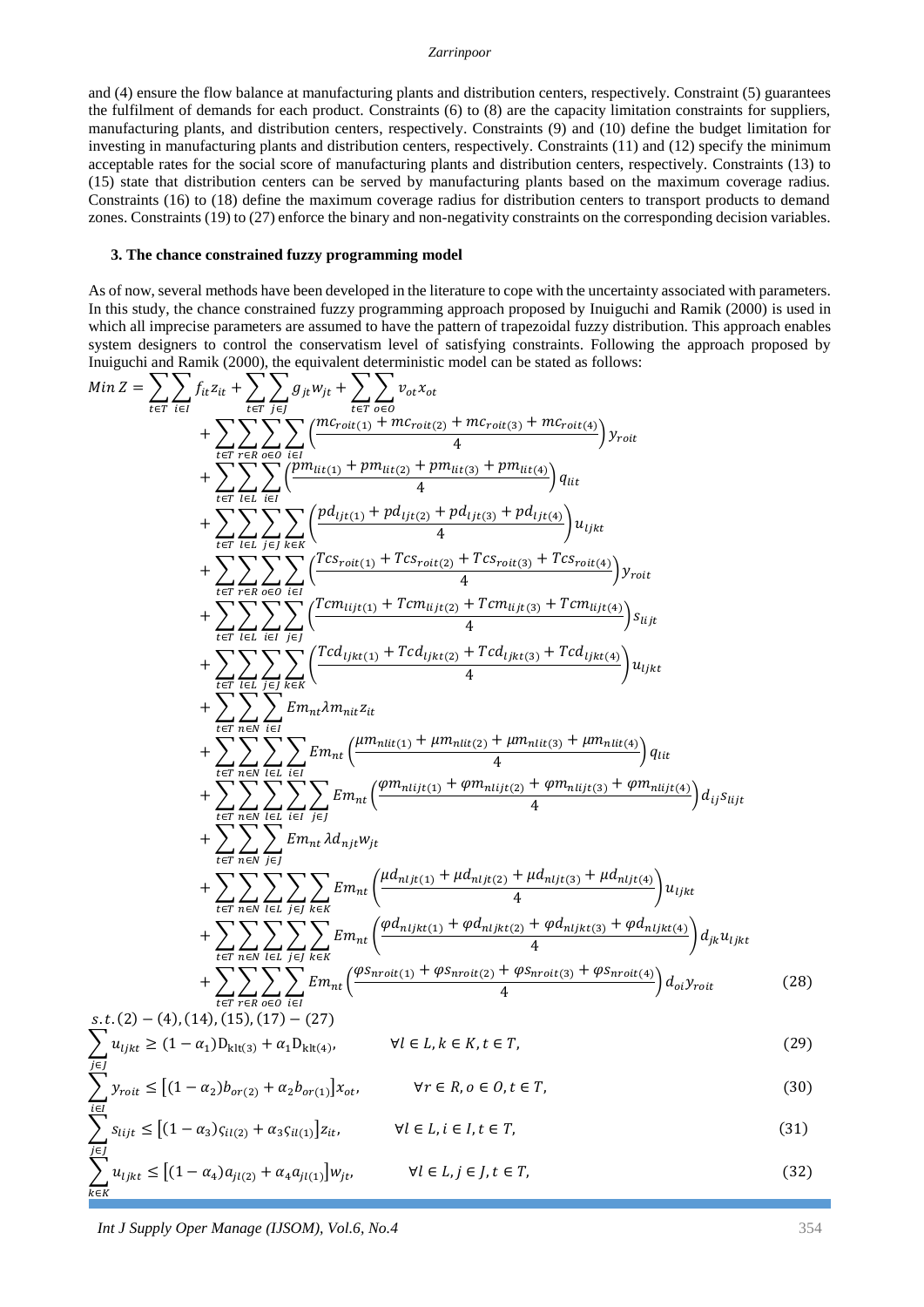#### *Zarrinpoor*

and (4) ensure the flow balance at manufacturing plants and distribution centers, respectively. Constraint (5) guarantees the fulfilment of demands for each product. Constraints (6) to (8) are the capacity limitation constraints for suppliers, manufacturing plants, and distribution centers, respectively. Constraints (9) and (10) define the budget limitation for investing in manufacturing plants and distribution centers, respectively. Constraints (11) and (12) specify the minimum acceptable rates for the social score of manufacturing plants and distribution centers, respectively. Constraints (13) to (15) state that distribution centers can be served by manufacturing plants based on the maximum coverage radius. Constraints (16) to (18) define the maximum coverage radius for distribution centers to transport products to demand zones. Constraints (19) to (27) enforce the binary and non-negativity constraints on the corresponding decision variables.

## **3. The chance constrained fuzzy programming model**

As of now, several methods have been developed in the literature to cope with the uncertainty associated with parameters. In this study, the chance constrained fuzzy programming approach proposed by Inuiguchi and Ramik (2000) is used in which all imprecise parameters are assumed to have the pattern of trapezoidal fuzzy distribution. This approach enables system designers to control the conservatism level of satisfying constraints. Following the approach proposed by Inuiguchi and Ramik (2000), the equivalent deterministic model can be stated as follows:

$$
Min Z = \sum_{t \in T} \sum_{i \in I} f_{it} z_{it} + \sum_{t \in T} \sum_{j \in J} g_{jt} w_{jt} + \sum_{t \in T} \sum_{i \in J} w_{0i} x_{ot} + \sum_{t \in T} \sum_{i \in I} \frac{(m_{crot(t)} + m_{crot(t)} + m_{crot(t)} + m_{crot(t)} + m_{crot(t)})}{4} y_{rot}
$$
  
+ 
$$
\sum_{t \in T} \sum_{t \in I} \sum_{i \in I} \sum_{i \in I} \frac{(m_{crot(t)} + m_{tit(t)} + p m_{lit(t)} + p m_{lit(t)})}{4} u_{lit}
$$
  
+ 
$$
\sum_{t \in T} \sum_{t \in I} \sum_{j \in I} \sum_{k \in K} \frac{p d_{ijt(t)} + p d_{ijt(t)} + p d_{ijt(t)} + p d_{ijt(t)}}{4} y_{tijk}
$$
  
+ 
$$
\sum_{t \in T} \sum_{t \in I} \sum_{i \in I} \sum_{i \in I} \frac{(Tcs_{rot(t)} + Tcs_{rot(t)} + Tcs_{rot(t)}) + Tcs_{rot(t)}}{4} y_{rot}
$$
  
+ 
$$
\sum_{t \in T} \sum_{t \in I} \sum_{i \in I} \sum_{j \in I} \frac{(Tcs_{rot(t)} + Tcs_{rot(t)} + Tcs_{rot(t)}) + Tcs_{rot(t)}}{4} y_{tijk}
$$
  
+ 
$$
\sum_{t \in T} \sum_{t \in I} \sum_{j \in I} \sum_{j \in K} \frac{(Tcs_{jkt(t)} + Tcs_{jkt(t)} + Tcs_{tijt(t)})}{4} u_{ijkt}
$$
  
+ 
$$
\sum_{t \in T} \sum_{n \in N} \sum_{i \in I} \sum_{j \in I} E m_{nt} (\frac{\mu m_{nlit(t)} + \mu m_{nlit(t)} + \mu m_{nlit(t)} + \mu m_{nlit(t)})}{4} u_{ijkt}
$$
  
+ 
$$
\sum_{t \in T} \sum_{n \in N} \sum_{i \in I} \sum_{j \in I} E m_{nt} (\frac{\mu m_{nlit(t)} + \mu m_{nlit(t)} + \mu m_{nlit(t)} + \mu m_{nlit(t)})}{4} u_{ijkt}
$$
  
+ 
$$
\sum_{t \in T} \sum_{n \in N} \sum_{i \in I} \sum_{j \in I} E m_{
$$

*Int J Supply Oper Manage (IJSOM), Vol.6, No.4* 354

 $\overline{k\in K}$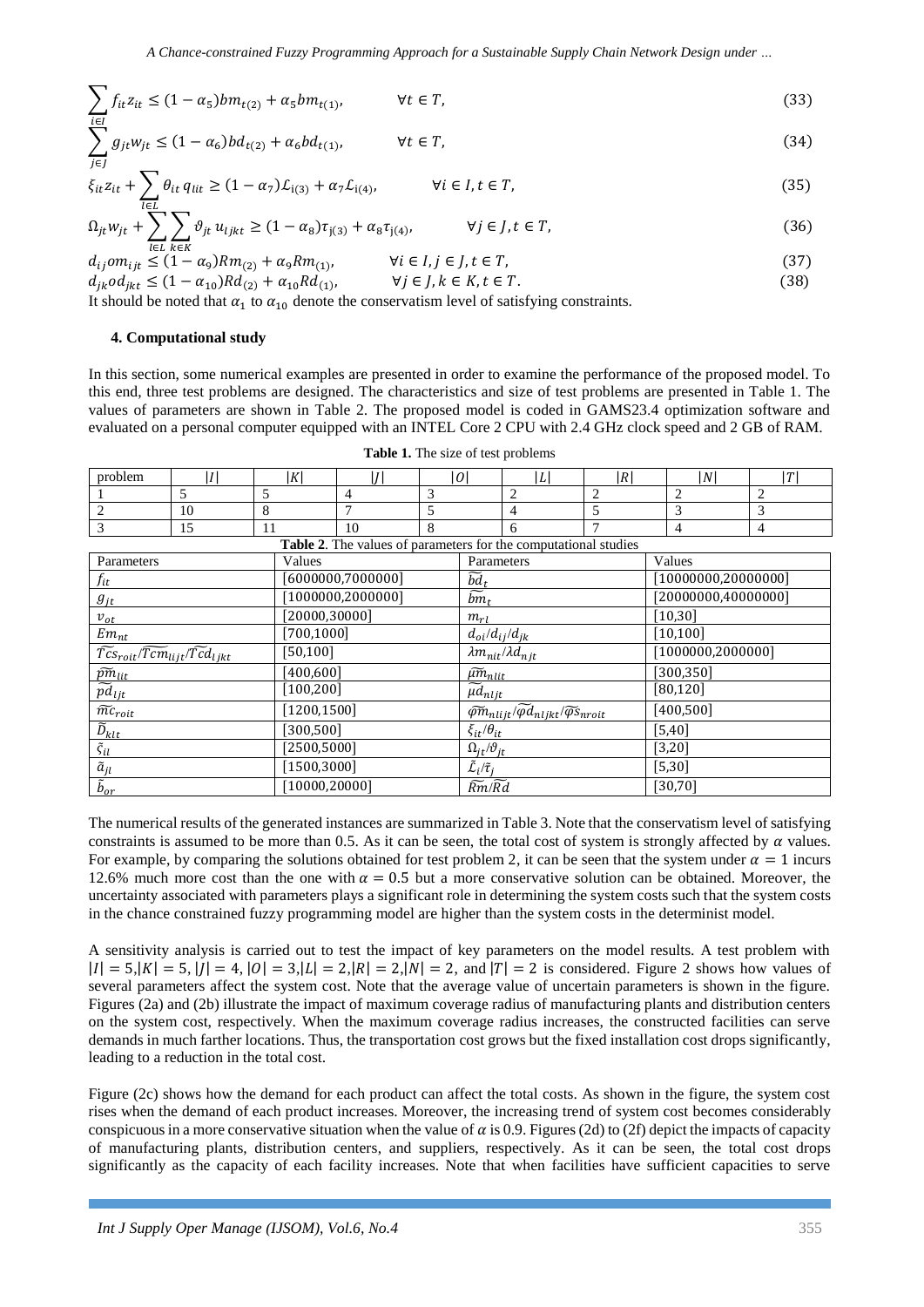$$
\sum_{i \in I} f_{it} z_{it} \le (1 - \alpha_5) b m_{t(2)} + \alpha_5 b m_{t(1)}, \qquad \forall t \in T,
$$
\n(33)

$$
\sum_{i \in I} g_{jt} w_{jt} \le (1 - \alpha_6) b d_{t(2)} + \alpha_6 b d_{t(1)}, \qquad \forall t \in T,
$$
\n(34)

$$
\xi_{it} z_{it} + \sum_{l \in L} \theta_{it} q_{lit} \ge (1 - \alpha_7) \mathcal{L}_{i(3)} + \alpha_7 \mathcal{L}_{i(4)}, \qquad \forall i \in I, t \in T,
$$
\n(35)

$$
\Omega_{jt} w_{jt} + \sum_{l \in I} \sum_{l \in V} \vartheta_{jt} u_{ljkt} \ge (1 - \alpha_8) \tau_{j(3)} + \alpha_8 \tau_{j(4)}, \qquad \forall j \in J, t \in T,
$$
\n(36)

$$
d_{ij}om_{ijt} \leq (1 - \alpha_9)Rm_{(2)} + \alpha_9 Rm_{(1)}, \qquad \forall i \in I, j \in J, t \in T,
$$
\n
$$
d_{ij} \leq (1 - \alpha_9)Rm_{(2)} + \alpha_9 Rm_{(1)}, \qquad \forall i \in I, k \in K, t \in T
$$
\n
$$
(37)
$$

$$
d_{jk}od_{jkt} \le (1 - \alpha_{10})R d_{(2)} + \alpha_{10} R d_{(1)}, \qquad \forall j \in J, k \in K, t \in T.
$$
\n(38)

It should be noted that  $\alpha_1$  to  $\alpha_{10}$  denote the conservatism level of satisfying constraints.

### **4. Computational study**

In this section, some numerical examples are presented in order to examine the performance of the proposed model. To this end, three test problems are designed. The characteristics and size of test problems are presented in Table 1. The values of parameters are shown in Table 2. The proposed model is coded in GAMS23.4 optimization software and evaluated on a personal computer equipped with an INTEL Core 2 CPU with 2.4 GHz clock speed and 2 GB of RAM.

| problem                                                                           | I                        | lKl    | l I l              | 0 |  | L                                                                                           | R |   | N                    | T              |  |
|-----------------------------------------------------------------------------------|--------------------------|--------|--------------------|---|--|---------------------------------------------------------------------------------------------|---|---|----------------------|----------------|--|
|                                                                                   | $\overline{\phantom{0}}$ | 5      | 4                  | 3 |  | $\overline{2}$                                                                              | 2 | 2 |                      | 2              |  |
| $\overline{2}$                                                                    | 10                       | 8      | 7                  | 5 |  | $\overline{4}$                                                                              | 5 | 3 |                      | 3              |  |
| 3                                                                                 | 15                       | 11     | 10                 | 8 |  | 6                                                                                           | 7 | 4 |                      | $\overline{4}$ |  |
| <b>Table 2.</b> The values of parameters for the computational studies            |                          |        |                    |   |  |                                                                                             |   |   |                      |                |  |
| Parameters                                                                        |                          | Values |                    |   |  | Parameters                                                                                  |   |   | Values               |                |  |
| $f_{it}$                                                                          |                          |        | [6000000, 7000000] |   |  | $\widetilde{bd}_t$                                                                          |   |   | [10000000, 20000000] |                |  |
| $g_{jt}$                                                                          |                          |        | [1000000, 2000000] |   |  | $\overline{bm}_t$                                                                           |   |   | [20000000,40000000]  |                |  |
| $v_{ot}$                                                                          |                          |        | [20000, 30000]     |   |  | $m_{rl}$                                                                                    |   |   | [10, 30]             |                |  |
| $Em_{nt}$                                                                         |                          |        | [700, 1000]        |   |  | $d_{oi}/d_{ij}/d_{jk}$                                                                      |   |   | [10, 100]            |                |  |
| $\overline{\widetilde{Tcs}}_{roit}/\widetilde{Tcm}_{lijt}/\widetilde{Tcd}_{ljkt}$ |                          |        | [50, 100]          |   |  | $\lambda m_{nit} / \lambda d_{njt}$                                                         |   |   | [1000000, 2000000]   |                |  |
| $\widetilde{pm}_{lit}$                                                            |                          |        | [400,600]          |   |  | $\widetilde{\mu m}_{nlit}$                                                                  |   |   | [300, 350]           |                |  |
| $\widetilde{pd}_{ljt}$                                                            |                          |        | [100, 200]         |   |  | $\mu d_{n l j t}$                                                                           |   |   | [80, 120]            |                |  |
| $\widetilde{mc}_{roit}$                                                           |                          |        | [1200, 1500]       |   |  | $\widetilde{\varphi m}_{nlijt}/\widetilde{\varphi d}_{nljkt}/\widetilde{\varphi s}_{nroit}$ |   |   | [400, 500]           |                |  |
| $\widetilde{D}_{klt}$                                                             |                          |        | [300, 500]         |   |  | $\xi_{it}/\theta_{it}$                                                                      |   |   | $[5,40]$             |                |  |
| $\tilde{\varsigma}_{il}$                                                          |                          |        | [2500, 5000]       |   |  | $\Omega_{jt}/\vartheta_{jt}$                                                                |   |   | $[3,20]$             |                |  |
| $\tilde{a}_{jl}$                                                                  |                          |        | [1500, 3000]       |   |  | $\tilde{\mathcal{L}}_i/\tilde{\tau}_i$                                                      |   |   | $[5,30]$             |                |  |
| $\tilde{b}_{or}$                                                                  |                          |        | [10000, 20000]     |   |  | $\widetilde{Rm}/\widetilde{Rd}$                                                             |   |   | $[30, 70]$           |                |  |

**Table 1.** The size of test problems

The numerical results of the generated instances are summarized in Table 3. Note that the conservatism level of satisfying constraints is assumed to be more than 0.5. As it can be seen, the total cost of system is strongly affected by  $\alpha$  values. For example, by comparing the solutions obtained for test problem 2, it can be seen that the system under  $\alpha = 1$  incurs 12.6% much more cost than the one with  $\alpha = 0.5$  but a more conservative solution can be obtained. Moreover, the uncertainty associated with parameters plays a significant role in determining the system costs such that the system costs in the chance constrained fuzzy programming model are higher than the system costs in the determinist model.

A sensitivity analysis is carried out to test the impact of key parameters on the model results. A test problem with  $|I| = 5, |K| = 5, |I| = 4, |O| = 3, |L| = 2, |R| = 2, |N| = 2$ , and  $|T| = 2$  is considered. Figure 2 shows how values of several parameters affect the system cost. Note that the average value of uncertain parameters is shown in the figure. Figures (2a) and (2b) illustrate the impact of maximum coverage radius of manufacturing plants and distribution centers on the system cost, respectively. When the maximum coverage radius increases, the constructed facilities can serve demands in much farther locations. Thus, the transportation cost grows but the fixed installation cost drops significantly, leading to a reduction in the total cost.

Figure (2c) shows how the demand for each product can affect the total costs. As shown in the figure, the system cost rises when the demand of each product increases. Moreover, the increasing trend of system cost becomes considerably conspicuous in a more conservative situation when the value of  $\alpha$  is 0.9. Figures (2d) to (2f) depict the impacts of capacity of manufacturing plants, distribution centers, and suppliers, respectively. As it can be seen, the total cost drops significantly as the capacity of each facility increases. Note that when facilities have sufficient capacities to serve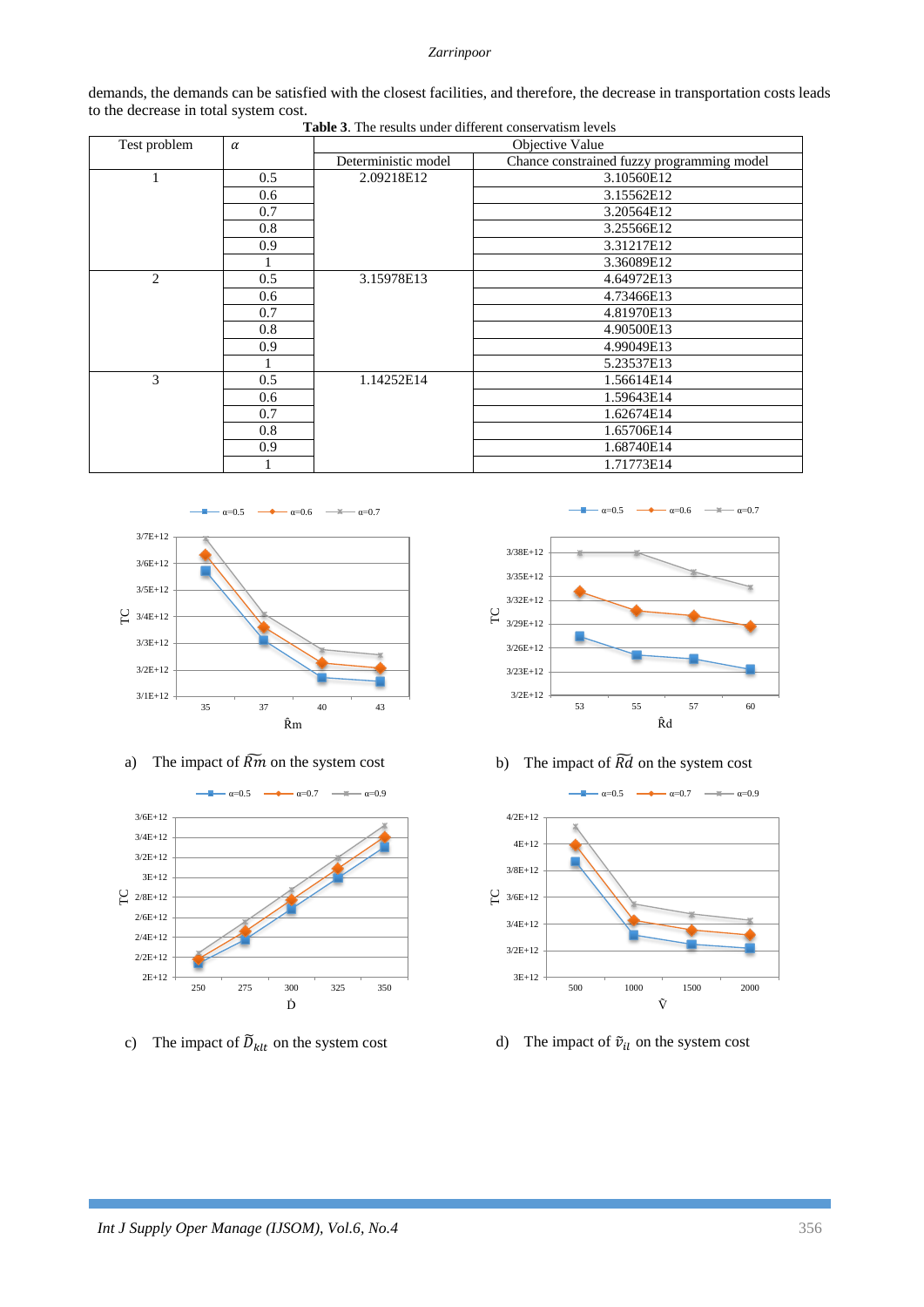### *Zarrinpoor*

demands, the demands can be satisfied with the closest facilities, and therefore, the decrease in transportation costs leads to the decrease in total system cost. **Table 3**. The results under different conservatism levels

| Test problem   | $\alpha$ | Objective Value     |                                            |  |  |  |  |
|----------------|----------|---------------------|--------------------------------------------|--|--|--|--|
|                |          | Deterministic model | Chance constrained fuzzy programming model |  |  |  |  |
|                | 0.5      | 2.09218E12          | 3.10560E12                                 |  |  |  |  |
|                | 0.6      |                     | 3.15562E12                                 |  |  |  |  |
|                | 0.7      |                     | 3.20564E12                                 |  |  |  |  |
|                | 0.8      |                     | 3.25566E12                                 |  |  |  |  |
|                | 0.9      |                     | 3.31217E12                                 |  |  |  |  |
|                |          |                     | 3.36089E12                                 |  |  |  |  |
| $\overline{c}$ | 0.5      | 3.15978E13          | 4.64972E13                                 |  |  |  |  |
|                | 0.6      |                     | 4.73466E13                                 |  |  |  |  |
|                | 0.7      |                     | 4.81970E13                                 |  |  |  |  |
|                | 0.8      |                     | 4.90500E13                                 |  |  |  |  |
|                | 0.9      |                     | 4.99049E13                                 |  |  |  |  |
|                |          |                     | 5.23537E13                                 |  |  |  |  |
| 3              | 0.5      | 1.14252E14          | 1.56614E14                                 |  |  |  |  |
|                | 0.6      |                     | 1.59643E14                                 |  |  |  |  |
|                | 0.7      |                     | 1.62674E14                                 |  |  |  |  |
|                | 0.8      |                     | 1.65706E14                                 |  |  |  |  |
|                | 0.9      |                     | 1.68740E14                                 |  |  |  |  |
|                |          |                     | 1.71773E14                                 |  |  |  |  |





c) The impact of  $\tilde{D}_{klt}$  on the system cost d) The impact of  $\tilde{v}_{il}$  on the system cost



a) The impact of  $\widetilde{Rm}$  on the system cost b) The impact of  $\widetilde{Rd}$  on the system cost

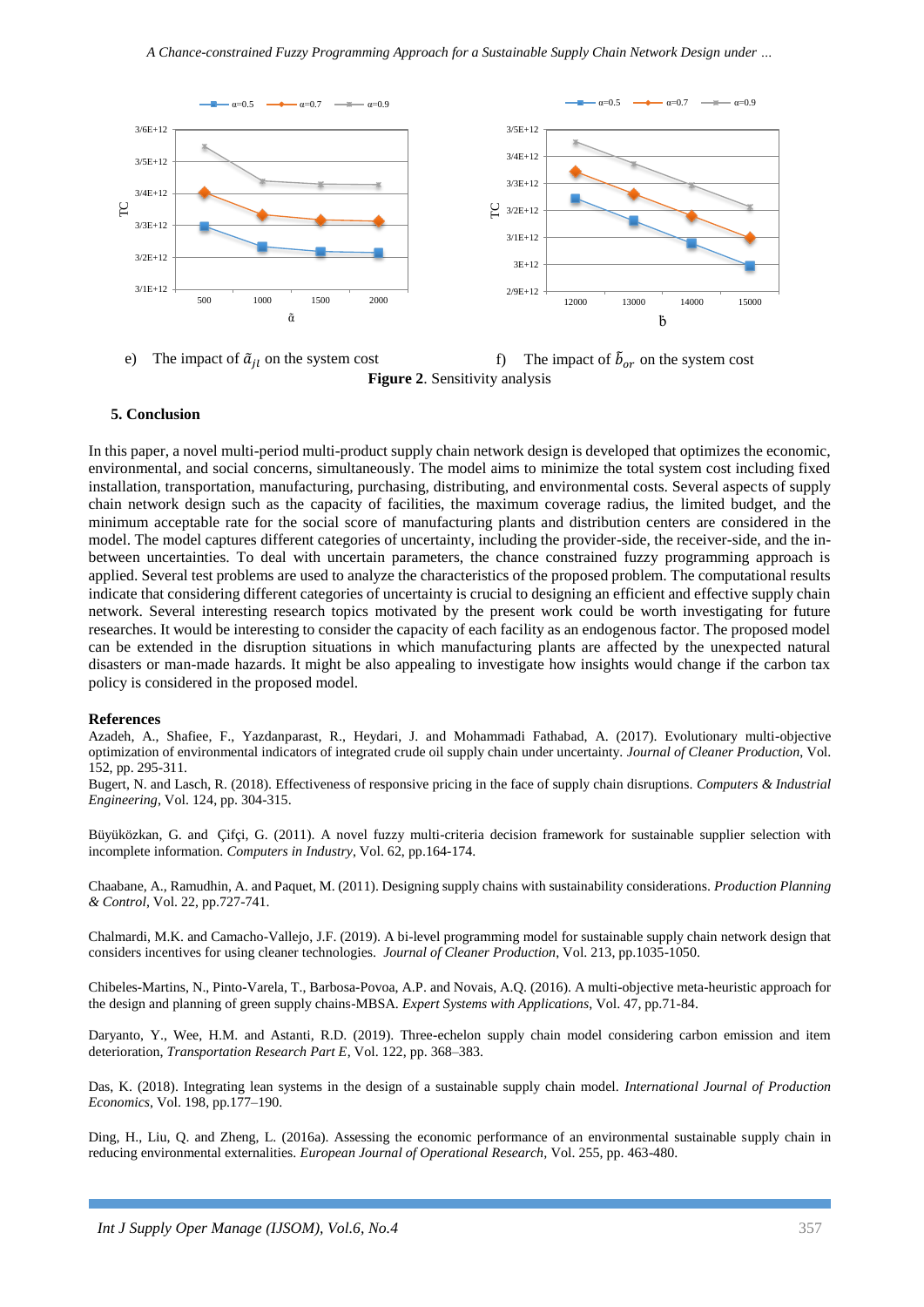

The impact of  $\tilde{a}_{il}$  on the system cost f) The impact of  $\tilde{b}_{or}$  on the system cost **Figure 2**. Sensitivity analysis

### **5. Conclusion**

In this paper, a novel multi-period multi-product supply chain network design is developed that optimizes the economic, environmental, and social concerns, simultaneously. The model aims to minimize the total system cost including fixed installation, transportation, manufacturing, purchasing, distributing, and environmental costs. Several aspects of supply chain network design such as the capacity of facilities, the maximum coverage radius, the limited budget, and the minimum acceptable rate for the social score of manufacturing plants and distribution centers are considered in the model. The model captures different categories of uncertainty, including the provider-side, the receiver-side, and the inbetween uncertainties. To deal with uncertain parameters, the chance constrained fuzzy programming approach is applied. Several test problems are used to analyze the characteristics of the proposed problem. The computational results indicate that considering different categories of uncertainty is crucial to designing an efficient and effective supply chain network. Several interesting research topics motivated by the present work could be worth investigating for future researches. It would be interesting to consider the capacity of each facility as an endogenous factor. The proposed model can be extended in the disruption situations in which manufacturing plants are affected by the unexpected natural disasters or man-made hazards. It might be also appealing to investigate how insights would change if the carbon tax policy is considered in the proposed model.

#### **References**

Azadeh, A., Shafiee, F., Yazdanparast, R., Heydari, J. and Mohammadi Fathabad, A. (2017). Evolutionary multi-objective optimization of environmental indicators of integrated crude oil supply chain under uncertainty. *Journal of Cleaner Production*, Vol. 152, pp. 295-311.

Bugert, N. and Lasch, R. (2018). Effectiveness of responsive pricing in the face of supply chain disruptions. *Computers & Industrial Engineering*, Vol. 124, pp. 304-315.

[Büyüközkan,](http://www.sciencedirect.com/science/article/pii/S0166361510001570) G. and [Çifçi,](http://www.sciencedirect.com/science/article/pii/S0166361510001570) G. (2011). A novel fuzzy multi-criteria decision framework for sustainable supplier selection with incomplete information. *Computers in Industry*, Vol. 62, pp.164-174.

Chaabane, A., Ramudhin, A. and Paquet, M. (2011). Designing supply chains with sustainability considerations. *Production Planning & Control*, Vol. 22, pp.727-741.

[Chalmardi,](https://www.sciencedirect.com/science/article/pii/S0959652618339131#!) M.K. and [Camacho-Vallejo,](https://www.sciencedirect.com/science/article/pii/S0959652618339131#!) J.F. (2019). A bi-level programming model for sustainable supply chain network design that considers incentives for using cleaner technologies. *Journal of Cleaner Production*, Vol. 213, pp.1035-1050.

Chibeles-Martins, N., Pinto-Varela, T., Barbosa-Povoa, A.P. and Novais, A.Q. (2016). A multi-objective meta-heuristic approach for the design and planning of green supply chains-MBSA. *Expert Systems with Applications*, Vol. 47, pp.71-84.

Daryanto, Y., Wee, H.M. and Astanti, R.D. (2019). Three-echelon supply chain model considering carbon emission and item deterioration, *Transportation Research Part E*, Vol. 122, pp. 368–383.

Das, K. (2018). Integrating lean systems in the design of a sustainable supply chain model. *International Journal of Production Economics*, Vol. 198, pp.177–190.

Ding, H., Liu, Q. and Zheng, L. (2016a). Assessing the economic performance of an environmental sustainable supply chain in reducing environmental externalities. *European Journal of Operational Research,* Vol. 255, pp. 463-480.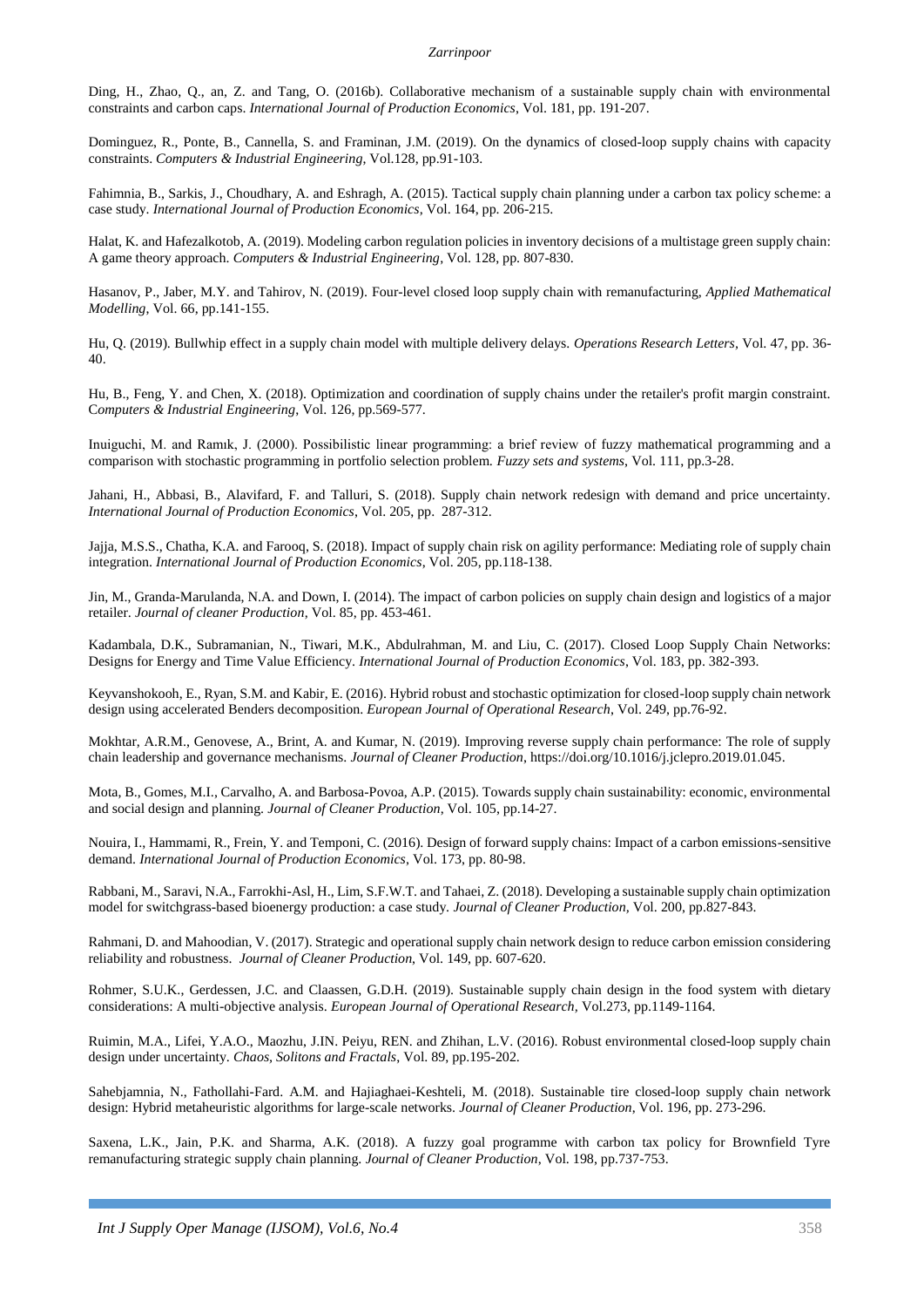Ding, H., Zhao, Q., an, Z. and Tang, O. (2016b). Collaborative mechanism of a sustainable supply chain with environmental constraints and carbon caps. *International Journal of Production Economics*, Vol. 181, pp. 191-207.

Dominguez, R., Ponte, B., Cannella, S. and Framinan, J.M. (2019). On the dynamics of closed-loop supply chains with capacity constraints. *Computers & Industrial Engineering*, Vol.128, pp.91-103.

Fahimnia, B., Sarkis, J., Choudhary, A. and Eshragh, A. (2015). Tactical supply chain planning under a carbon tax policy scheme: a case study. *International Journal of Production Economics*, Vol. 164, pp. 206-215.

Halat, K. and Hafezalkotob, A. (2019). Modeling carbon regulation policies in inventory decisions of a multistage green supply chain: A game theory approach. *Computers & Industrial Engineering*, Vol. 128, pp. 807-830.

Hasanov, P., Jaber, M.Y. and Tahirov, N. (2019). Four-level closed loop supply chain with remanufacturing, *Applied Mathematical Modelling*, Vol. 66, pp.141-155.

Hu, Q. (2019). Bullwhip effect in a supply chain model with multiple delivery delays. *Operations Research Letters,* Vol. 47, pp. 36- 40.

Hu, B., Feng, Y. and Chen, X. (2018). Optimization and coordination of supply chains under the retailer's profit margin constraint. C*omputers & Industrial Engineering*, Vol. 126, pp.569-577.

Inuiguchi, M. and Ramık, J. (2000). Possibilistic linear programming: a brief review of fuzzy mathematical programming and a comparison with stochastic programming in portfolio selection problem. *Fuzzy sets and systems*, Vol. 111, pp.3-28.

[Jahani,](https://www.sciencedirect.com/science/article/pii/S0925527318303402#!) H., [Abbasi,](https://www.sciencedirect.com/science/article/pii/S0925527318303402#!) B., [Alavifard,](https://www.sciencedirect.com/science/article/pii/S0925527318303402#!) F. and [Talluri,](https://www.sciencedirect.com/science/article/pii/S0925527318303402#!) S. (2018). Supply chain network redesign with demand and price uncertainty. *International Journal of Production Economics*, Vol. 205, pp. 287-312.

Jajja, M.S.S., Chatha, K.A. and Farooq, S. (2018). Impact of supply chain risk on agility performance: Mediating role of supply chain integration. *International Journal of Production Economics*, Vol. 205, pp.118-138.

Jin, M., Granda-Marulanda, N.A. and Down, I. (2014). The impact of carbon policies on supply chain design and logistics of a major retailer. *Journal of cleaner Production*, Vol. 85, pp. 453-461.

Kadambala, D.K., Subramanian, N., Tiwari, M.K., Abdulrahman, M. and Liu, C. (2017). Closed Loop Supply Chain Networks: Designs for Energy and Time Value Efficiency. *International Journal of Production Economics*, Vol. 183, pp. 382-393.

Keyvanshokooh, E., Ryan, S.M. and Kabir, E. (2016). Hybrid robust and stochastic optimization for closed-loop supply chain network design using accelerated Benders decomposition. *European Journal of Operational Research*, Vol. 249, pp.76-92.

Mokhtar, A.R.M., Genovese, A., Brint, A. and Kumar, N. (2019). Improving reverse supply chain performance: The role of supply chain leadership and governance mechanisms. *Journal of Cleaner Production*, https://doi.org/10.1016/j.jclepro.2019.01.045.

Mota, B., Gomes, M.I., Carvalho, A. and Barbosa-Povoa, A.P. (2015). Towards supply chain sustainability: economic, environmental and social design and planning. *Journal of Cleaner Production*, Vol. 105, pp.14-27.

Nouira, I., Hammami, R., Frein, Y. and Temponi, C. (2016). Design of forward supply chains: Impact of a carbon emissions-sensitive demand. *International Journal of Production Economics*, Vol. 173, pp. 80-98.

Rabbani, M., Saravi, N.A., Farrokhi-Asl, H., Lim, S.F.W.T. and Tahaei, Z. (2018). Developing a sustainable supply chain optimization model for switchgrass-based bioenergy production: a case study. *Journal of Cleaner Production,* Vol. 200, pp.827-843.

Rahmani, D. and Mahoodian, V. (2017). Strategic and operational supply chain network design to reduce carbon emission considering reliability and robustness. *Journal of Cleaner Production*, Vol. 149, pp. 607-620.

Rohmer, S.U.K., Gerdessen, J.C. and Claassen, G.D.H. (2019). Sustainable supply chain design in the food system with dietary considerations: A multi-objective analysis. *European Journal of Operational Research,* Vol.273, pp.1149-1164.

Ruimin, M.A., Lifei, Y.A.O., Maozhu, J.IN. Peiyu, REN. and Zhihan, L.V. (2016). Robust environmental closed-loop supply chain design under uncertainty. *Chaos, Solitons and Fractals*, Vol. 89, pp.195-202.

[Sahebjamnia,](https://www.sciencedirect.com/science/article/pii/S0959652618315981#!) N., [Fathollahi-Fard.](https://www.sciencedirect.com/science/article/pii/S0959652618315981#!) A.M. and [Hajiaghaei-Keshteli,](https://www.sciencedirect.com/science/article/pii/S0959652618315981#!) M. (2018). Sustainable tire closed-loop supply chain network design: Hybrid metaheuristic algorithms for large-scale networks. *Journal of Cleaner Production*, Vol. 196, pp. 273-296.

Saxena, L.K., Jain, P.K. and Sharma, A.K. (2018). A fuzzy goal programme with carbon tax policy for Brownfield Tyre remanufacturing strategic supply chain planning. *Journal of Cleaner Production*, Vol. 198, pp.737-753.